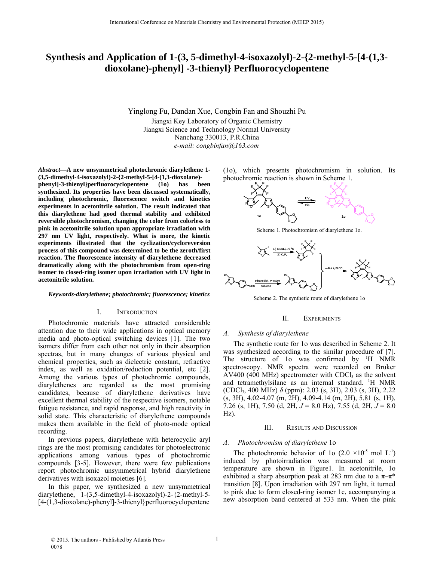# **Synthesis and Application of 1-(3, 5-dimethyl-4-isoxazolyl)-2-{2-methyl-5-[4-(1,3 dioxolane)-phenyl] -3-thienyl} Perfluorocyclopentene**

Yinglong Fu, Dandan Xue, Congbin Fan and Shouzhi Pu Jiangxi Key Laboratory of Organic Chemistry Jiangxi Science and Technology Normal University Nanchang 330013, P.R.China *e-mail: congbinfan@163.com*

*Abstract***—A new unsymmetrical photochromic diarylethene 1- (3,5-dimethyl-4-isoxazolyl)-2-{2-methyl-5-[4-(1,3-dioxolane) phenyl]-3-thienyl}perfluorocyclopentene (1o) has been synthesized. Its properties have been discussed systematically, including photochromic, fluorescence switch and kinetics experiments in acetonitrile solution. The result indicated that this diarylethene had good thermal stability and exhibited reversible photochromism, changing the color from colorless to pink in acetonitrile solution upon appropriate irradiation with 297 nm UV light, respectively. What is more, the kinetic experiments illustrated that the cyclization/cycloreversion process of this compound was determined to be the zeroth/first reaction. The fluorescence intensity of diarylethene decreased dramatically along with the photochromism from open-ring isomer to closed-ring isomer upon irradiation with UV light in acetonitrile solution.**

#### *Keywords-diarylethene; photochromic; fluorescence; kinetics*

## I. INTRODUCTION

Photochromic materials have attracted considerable attention due to their wide applications in optical memory media and photo-optical switching devices [1]. The two isomers differ from each other not only in their absorption spectras, but in many changes of various physical and chemical properties, such as dielectric constant, refractive index, as well as oxidation/reduction potential, etc [2]. Among the various types of photochromic compounds, diarylethenes are regarded as the most promising candidates, because of diarylethene derivatives have excellent thermal stability of the respective isomers, notable fatigue resistance, and rapid response, and high reactivity in solid state. This characteristic of diarylethene compounds makes them available in the field of photo-mode optical recording.

In previous papers, diarylethene with heterocyclic aryl rings are the most promising candidates for photoelectronic applications among various types of photochromic compounds [3-5]. However, there were few publications report photochromic unsymmetrical hybrid diarylethene derivatives with isoxazol moieties [6].

In this paper, we synthesized a new unsymmetrical diarylethene, 1-(3,5-dimethyl-4-isoxazolyl)-2-{2-methyl-5- [4-(1,3-dioxolane)-phenyl]-3-thienyl}perfluorocyclopentene

(1o), which presents photochromism in solution. Its photochromic reaction is shown in Scheme 1.



Scheme 1. Photochromism of diarylethene 1o.



Scheme 2. The synthetic route of diarylethene 1o

## II. EXPERIMENTS

#### *A. Synthesis of diarylethene*

The synthetic route for 1o was described in Scheme 2. It was synthesized according to the similar procedure of [7]. The structure of 10 was confirmed by <sup>1</sup>H NMR spectroscopy. NMR spectra were recorded on Bruker  $AV400$  (400 MHz) spectrometer with CDCl<sub>3</sub> as the solvent and tetramethylsilane as an internal standard. <sup>1</sup>H NMR (CDCl3, 400 MHz) *δ* (ppm): 2.03 (s, 3H), 2.03 (s, 3H), 2.22 (s, 3H), 4.02-4.07 (m, 2H), 4.09-4.14 (m, 2H), 5.81 (s, 1H), 7.26 (s, 1H), 7.50 (d, 2H, *J* = 8.0 Hz), 7.55 (d, 2H, *J* = 8.0 Hz).

## III. RESULTS AND DISCUSSION

#### *A. Photochromism of diarylethene* 1o

The photochromic behavior of 1o  $(2.0 \times 10^{-5} \text{ mol L}^{-1})$ induced by photoirradiation was measured at room temperature are shown in Figure1. In acetonitrile, 1o exhibited a sharp absorption peak at 283 nm due to a  $\pi-\pi^*$ transition [8]. Upon irradiation with 297 nm light, it turned to pink due to form closed-ring isomer 1c, accompanying a new absorption band centered at 533 nm. When the pink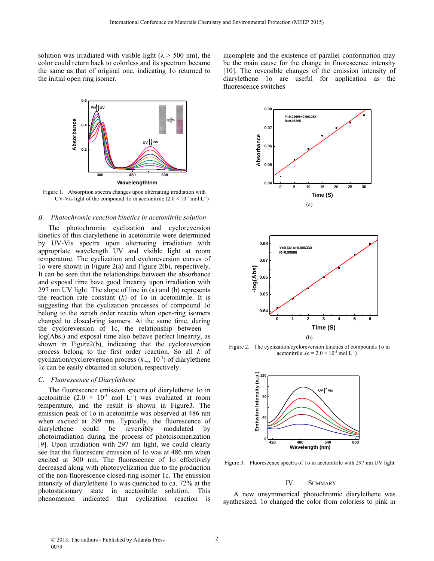solution was irradiated with visible light ( $\lambda > 500$  nm), the color could return back to colorless and its spectrum became the same as that of original one, indicating 1o returned to the initial open ring isomer.



Figure 1. Absorption spectra changes upon alternating irradiation with UV-Vis light of the compound 1o in acetonitrile  $(2.0 \times 10^{-5} \text{ mol L}^{-1})$ 

## *B. Photochromic reaction kinetics in acetonitrile solution*

The photochromic cyclization and cycloreversion kinetics of this diarylethene in acetonitrile were determined by UV-Vis spectra upon alternating irradiation with appropriate wavelength UV and visible light at room temperature. The cyclization and cycloreversion curves of 1o were shown in Figure 2(a) and Figure 2(b), respectively. It can be seen that the relationships between the absorbance and exposal time have good linearity upon irradiation with 297 nm UV light. The slope of line in (a) and (b) represents the reaction rate constant (*k*) of 1o in acetonitrile. It is suggesting that the cyclization processes of compound 1o belong to the zeroth order reactio when open-ring isomers changed to closed-ring isomers. At the same time, during the cycloreversion of 1c, the relationship between – log(Abs.) and exposal time also behave perfect linearity, as shown in Figure2(b), indicating that the cycloreversion process belong to the first order reaction. So all *k* of cyclization/cycloreversion process (*ko-c*, 10-3) of diarylethene 1c can be easily obtained in solution, respectively.

## *C. Fluorescence of Diarylethene*

The fluorescence emission spectra of diarylethene 1o in acetonitrile  $(2.0 \times 10^{-5} \text{ mol L}^{-1})$  was evaluated at room temperature, and the result is shown in Figure3. The emission peak of 1o in acetonitrile was observed at 486 nm when excited at 299 nm. Typically, the fluorescence of diarylethene could be reversibly modulated by photoirradiation during the process of photoisomerization [9]. Upon irradiation with 297 nm light, we could clearly see that the fluorescent emission of 1o was at 486 nm when excited at 300 nm. The fluorescence of 1o effectively decreased along with photocyclization due to the production of the non-fluorescence closed-ring isomer 1c. The emission intensity of diarylethene 1o was quenched to ca. 72% at the photostationary state in acetonitrile solution. This phenomenon indicated that cyclization reaction is

incomplete and the existence of parallel conformation may be the main cause for the change in fluorescence intensity [10]. The reversible changes of the emission intensity of diarylethene 1o are useful for application as the fluorescence switches





Figure 2. The cyclization/cycloreversion kinetics of compounds 1o in acetonitrile  $(c = 2.0 \times 10^{-5} \text{ mol L}^{-1})$ 



Figure 3. Fluorescence spectra of 1o in acetonitrile with 297 nm UV light

## IV. SUMMARY

A new unsymmetrical photochromic diarylethene was synthesized. 1o changed the color from colorless to pink in